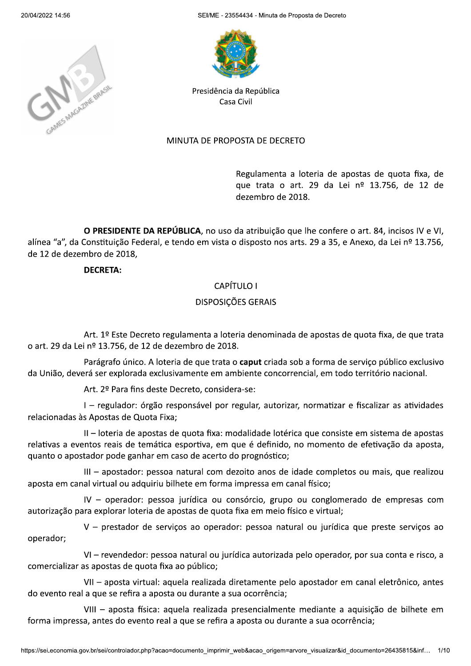

i/ME - 23554434 - Minuta de Proposta de Decreto



Presidência da República Casa Civil

### MINUTA DE PROPOSTA DE DECRETO

Regulamenta a loteria de apostas de quota fixa, de que trata o art. 29 da Lei nº 13.756, de 12 de dezembro de 2018.

O PRESIDENTE DA REPÚBLICA, no uso da atribuição que lhe confere o art. 84, incisos IV e VI, alínea "a", da Constituição Federal, e tendo em vista o disposto nos arts. 29 a 35, e Anexo, da Lei nº 13.756, de 12 de dezembro de 2018.

DECRETA:

### CAPÍTULO I

### DISPOSICÕES GERAIS

Art. 1º Este Decreto regulamenta a loteria denominada de apostas de quota fixa, de que trata o art. 29 da Lei nº 13.756, de 12 de dezembro de 2018.

Parágrafo único. A loteria de que trata o **caput** criada sob a forma de serviço público exclusivo da União, deverá ser explorada exclusivamente em ambiente concorrencial, em todo território nacional.

Art. 2º Para fins deste Decreto, considera-se:

I - regulador: órgão responsável por regular, autorizar, normatizar e fiscalizar as atividades relacionadas às Apostas de Quota Fixa;

II – loteria de apostas de quota fixa: modalidade lotérica que consiste em sistema de apostas relativas a eventos reais de temática esportiva, em que é definido, no momento de efetivação da aposta, quanto o apostador pode ganhar em caso de acerto do prognóstico;

III - apostador: pessoa natural com dezoito anos de idade completos ou mais, que realizou aposta em canal virtual ou adquiriu bilhete em forma impressa em canal físico;

 $V -$  operador: pessoa jurídica ou consórcio, grupo ou conglomerado de empresas com autorização para explorar loteria de apostas de quota fixa em meio físico e virtual;

V - prestador de serviços ao operador: pessoa natural ou jurídica que preste serviços ao operador;

VI - revendedor: pessoa natural ou jurídica autorizada pelo operador, por sua conta e risco, a comercializar as apostas de quota fixa ao público;

VII - aposta virtual: aquela realizada diretamente pelo apostador em canal eletrônico, antes do evento real a que se refira a aposta ou durante a sua ocorrência;

se refira a aposta ou durante a sua ocorrência;<br>aposta física: aquela realizada presencialmente mediante a aquisição de bilhete em<br>es do evento real a que se refira a aposta ou durante a sua ocorrência;<br>controlador.php?aca VIII - aposta física: aquela realizada presencialmente mediante a aquisição de bilhete em forma impressa, antes do evento real a que se refira a aposta ou durante a sua ocorrência;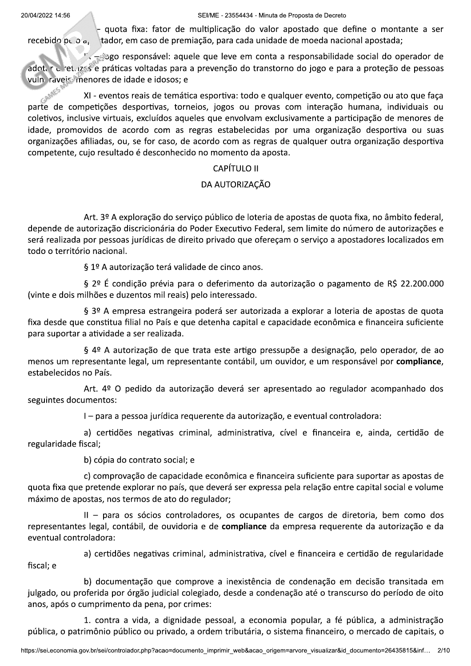i/ME - 23554434 - Minuta de Proposta de Decreto

- quota fixa: fator de multiplicação do valor apostado que define o montante a ser<br>recebido pelo a la tador, em caso de premiação, para cada unidade de moeda nacional apostada; tador, em caso de premiação, para cada unidade de moeda nacional apostada;

-./0/K3L3/:<F@3GFME<>8/512<></12</><E</<=/B3G45/5/:<F@3GF5HA>A;5;</F3BA5>/;3/3@<:5;3:/;< adot, r u ret. (2<5)e práticas voltadas para a prevenção do transtorno do jogo e para a proteção de pessoas

E2000 vuln raveis menores de idade e idosos;<br>KI - eventos reais de temáti XI - eventos reais de temática esportiva: todo e qualquer evento, competição ou ato que faça parte de competições desportivas, torneios, jogos ou provas com interação humana, individuais ou coletivos, inclusive virtuais, excluídos aqueles que envolvam exclusivamente a participação de menores de idade, promovidos de acordo com as regras estabelecidas por uma organização desportiva ou suas organizações afiliadas, ou, se for caso, de acordo com as regras de qualquer outra organização desportiva competente, cujo resultado é desconhecido no momento da aposta.

### CAPÍTULO II

# DA AUTORIZAÇÃO

Art. 3º A exploração do serviço público de loteria de apostas de quota fixa, no âmbito federal, depende de autorização discricionária do Poder Executivo Federal, sem limite do número de autorizações e será realizada por pessoas jurídicas de direito privado que ofereçam o serviço a apostadores localizados em todo o território nacional.

§ 1º A autorização terá validade de cinco anos.

§  $2^{\circ}$  É condição prévia para o deferimento da autorização o pagamento de R\$ 22.200.000 (vinte e dois milhões e duzentos mil reais) pelo interessado.

§ 3º A empresa estrangeira poderá ser autorizada a explorar a loteria de apostas de quota fixa desde que constitua filial no País e que detenha capital e capacidade econômica e financeira suficiente para suportar a atividade a ser realizada.

§ 4º A autorização de que trata este artigo pressupõe a designação, pelo operador, de ao menos um representante legal, um representante contábil, um ouvidor, e um responsável por compliance, estabelecidos no País.

Art.  $4^{\circ}$  O pedido da autorização deverá ser apresentado ao regulador acompanhado dos seguintes documentos:

I – para a pessoa jurídica requerente da autorização, e eventual controladora:

a) certidões negativas criminal, administrativa, cível e financeira e, ainda, certidão de regularidade fiscal;

b) cópia do contrato social; e

c) comprovação de capacidade econômica e financeira suficiente para suportar as apostas de quota fixa que pretende explorar no país, que deverá ser expressa pela relação entre capital social e volume máximo de apostas, nos termos de ato do regulador;

II - para os sócios controladores, os ocupantes de cargos de diretoria, bem como dos representantes legal, contábil, de ouvidoria e de compliance da empresa requerente da autorização e da eventual controladora:

a) certidões negativas criminal, administrativa, cível e financeira e certidão de regularidade fiscal; e

b) documentação que comprove a inexistência de condenação em decisão transitada em julgado, ou proferida por órgão judicial colegiado, desde a condenação até o transcurso do período de oito anos, após o cumprimento da pena, por crimes:

n por órgão judicial colegiado, desde a condenação até o transcurso do período de oito<br>mento da pena, por crimes:<br>tra a vida, a dignidade pessoal, a economia popular, a fé pública, a administração<br>p público ou privado, a o 1. contra a vida, a dignidade pessoal, a economia popular, a fé pública, a administração pública, o patrimônio público ou privado, a ordem tributária, o sistema financeiro, o mercado de capitais, o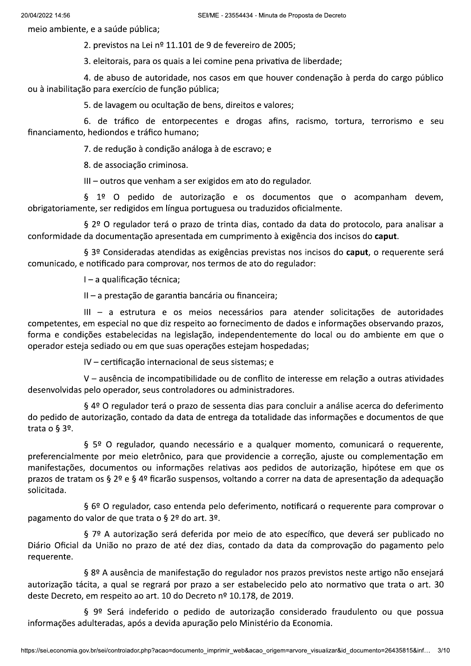meio ambiente, e a saúde pública;

2. previstos na Lei nº 11.101 de 9 de fevereiro de 2005;

3. eleitorais, para os quais a lei comine pena privativa de liberdade;

4. de abuso de autoridade, nos casos em que houver condenação à perda do cargo público ou à inabilitação para exercício de função pública;

5. de lavagem ou ocultação de bens, direitos e valores;

6. de tráfico de entorpecentes e drogas afins, racismo, tortura, terrorismo e seu financiamento, hediondos e tráfico humano;

7. de redução à condição análoga à de escravo; e

8. de associação criminosa.

III - outros que venham a ser exigidos em ato do regulador.

§ 1º O pedido de autorização e os documentos que o acompanham devem, obrigatoriamente, ser redigidos em língua portuguesa ou traduzidos oficialmente.

§ 2º O regulador terá o prazo de trinta dias, contado da data do protocolo, para analisar a conformidade da documentação apresentada em cumprimento à exigência dos incisos do caput.

§ 3º Consideradas atendidas as exigências previstas nos incisos do caput, o requerente será comunicado, e notificado para comprovar, nos termos de ato do regulador:

I - a qualificação técnica;

 $II - a$  prestação de garantia bancária ou financeira;

III - a estrutura e os meios necessários para atender solicitações de autoridades competentes, em especial no que diz respeito ao fornecimento de dados e informações observando prazos, forma e condições estabelecidas na legislação, independentemente do local ou do ambiente em que o operador esteja sediado ou em que suas operações estejam hospedadas;

IV - certificação internacional de seus sistemas; e

V - ausência de incompatibilidade ou de conflito de interesse em relação a outras atividades desenvolvidas pelo operador, seus controladores ou administradores.

§ 4º O regulador terá o prazo de sessenta dias para concluir a análise acerca do deferimento do pedido de autorização, contado da data de entrega da totalidade das informações e documentos de que trata o §  $3<sup>o</sup>$ .

§ 5º O regulador, quando necessário e a qualquer momento, comunicará o requerente, preferencialmente por meio eletrônico, para que providencie a correção, ajuste ou complementação em manifestações, documentos ou informações relativas aos pedidos de autorização, hipótese em que os prazos de tratam os § 2º e § 4º ficarão suspensos, voltando a correr na data de apresentação da adequação solicitada.

§ 6º O regulador, caso entenda pelo deferimento, notificará o requerente para comprovar o pagamento do valor de que trata o § 2º do art. 3º.

§ 7º A autorização será deferida por meio de ato específico, que deverá ser publicado no Diário Oficial da União no prazo de até dez dias, contado da data da comprovação do pagamento pelo requerente.

§ 8º A ausência de manifestação do regulador nos prazos previstos neste artigo não ensejará autorização tácita, a qual se regrará por prazo a ser estabelecido pelo ato normativo que trata o art. 30 deste Decreto, em respeito ao art. 10 do Decreto nº 10.178, de 2019.

§ 9º Será indeferido o pedido de autorização considerado fraudulento ou que possua informações adulteradas, após a devida apuração pelo Ministério da Economia.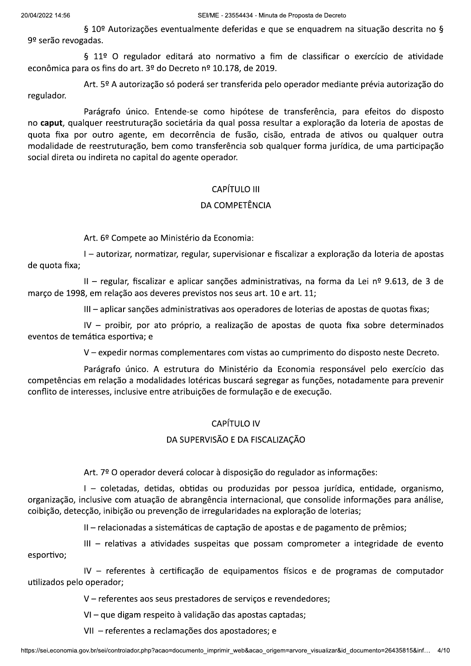§ 10º Autorizações eventualmente deferidas e que se enquadrem na situação descrita no § 9º serão revogadas.

§ 11º O regulador editará ato normativo a fim de classificar o exercício de atividade econômica para os fins do art. 3º do Decreto nº 10.178, de 2019.

Art. 5º A autorização só poderá ser transferida pelo operador mediante prévia autorização do regulador.

Parágrafo único. Entende-se como hipótese de transferência, para efeitos do disposto no caput, qualquer reestruturação societária da qual possa resultar a exploração da loteria de apostas de quota fixa por outro agente, em decorrência de fusão, cisão, entrada de ativos ou qualquer outra modalidade de reestruturação, bem como transferência sob qualquer forma jurídica, de uma participação social direta ou indireta no capital do agente operador.

# CAPÍTULO III

# DA COMPETÊNCIA

Art. 6º Compete ao Ministério da Economia:

I – autorizar, normatizar, regular, supervisionar e fiscalizar a exploração da loteria de apostas de quota fixa;

II - regular, fiscalizar e aplicar sanções administrativas, na forma da Lei nº 9.613, de 3 de marco de 1998, em relação aos deveres previstos nos seus art. 10 e art. 11;

III - aplicar sancões administrativas aos operadores de loterias de apostas de quotas fixas;

IV - proibir, por ato próprio, a realização de apostas de quota fixa sobre determinados eventos de temática esportiva; e

V - expedir normas complementares com vistas ao cumprimento do disposto neste Decreto.

Parágrafo único. A estrutura do Ministério da Economia responsável pelo exercício das competências em relação a modalidades lotéricas buscará segregar as funções, notadamente para prevenir conflito de interesses, inclusive entre atribuições de formulação e de execução.

# **CAPÍTULO IV**

### DA SUPERVISÃO E DA FISCALIZAÇÃO

Art. 7º O operador deverá colocar à disposição do regulador as informações:

I - coletadas, detidas, obtidas ou produzidas por pessoa jurídica, entidade, organismo, organização, inclusive com atuação de abrangência internacional, que consolide informações para análise, coibição, detecção, inibição ou prevenção de irregularidades na exploração de loterias;

II - relacionadas a sistemáticas de captação de apostas e de pagamento de prêmios;

III - relativas a atividades suspeitas que possam comprometer a integridade de evento esportivo;

IV - referentes à certificação de equipamentos físicos e de programas de computador utilizados pelo operador;

V - referentes aos seus prestadores de serviços e revendedores;

VI - que digam respeito à validação das apostas captadas;

VII - referentes a reclamações dos apostadores; e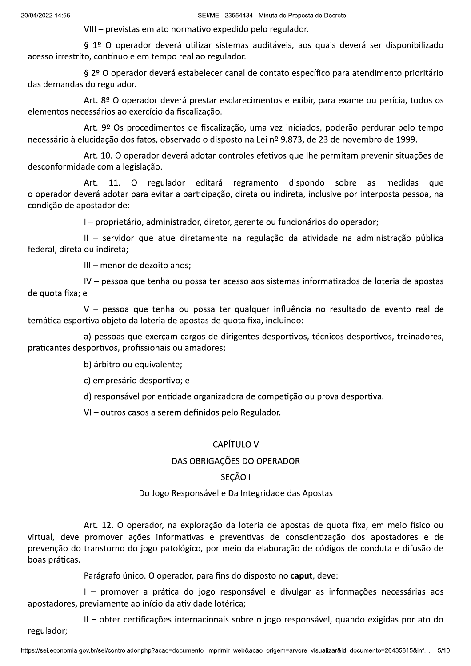VIII - previstas em ato normativo expedido pelo regulador.

§ 1º O operador deverá utilizar sistemas auditáveis, aos quais deverá ser disponibilizado acesso irrestrito, contínuo e em tempo real ao regulador.

§ 2º O operador deverá estabelecer canal de contato específico para atendimento prioritário das demandas do regulador.

Art. 8º O operador deverá prestar esclarecimentos e exibir, para exame ou perícia, todos os elementos necessários ao exercício da fiscalização.

Art. 9º Os procedimentos de fiscalização, uma vez iniciados, poderão perdurar pelo tempo necessário à elucidação dos fatos, observado o disposto na Lei nº 9.873, de 23 de novembro de 1999.

Art. 10. O operador deverá adotar controles efetivos que lhe permitam prevenir situações de desconformidade com a legislação.

dispondo 11. O regulador editará regramento sobre medidas Art. as que o operador deverá adotar para evitar a participação, direta ou indireta, inclusive por interposta pessoa, na condição de apostador de:

I - proprietário, administrador, diretor, gerente ou funcionários do operador;

II - servidor que atue diretamente na regulação da atividade na administração pública federal, direta ou indireta;

III - menor de dezoito anos:

IV - pessoa que tenha ou possa ter acesso aos sistemas informatizados de loteria de apostas de quota fixa; e

V - pessoa que tenha ou possa ter qualquer influência no resultado de evento real de temática esportiva objeto da loteria de apostas de quota fixa, incluindo:

a) pessoas que exerçam cargos de dirigentes desportivos, técnicos desportivos, treinadores, praticantes desportivos, profissionais ou amadores;

b) árbitro ou equivalente;

c) empresário desportivo; e

d) responsável por entidade organizadora de competição ou prova desportiva.

VI - outros casos a serem definidos pelo Regulador.

### **CAPÍTULO V**

#### DAS OBRIGAÇÕES DO OPERADOR

### SECÃO I

#### Do Jogo Responsável e Da Integridade das Apostas

Art. 12. O operador, na exploração da loteria de apostas de quota fixa, em meio físico ou virtual, deve promover ações informativas e preventivas de conscientização dos apostadores e de prevenção do transtorno do jogo patológico, por meio da elaboração de códigos de conduta e difusão de boas práticas.

Parágrafo único. O operador, para fins do disposto no caput, deve:

I - promover a prática do jogo responsável e divulgar as informações necessárias aos apostadores, previamente ao início da atividade lotérica:

II - obter certificações internacionais sobre o jogo responsável, quando exigidas por ato do regulador;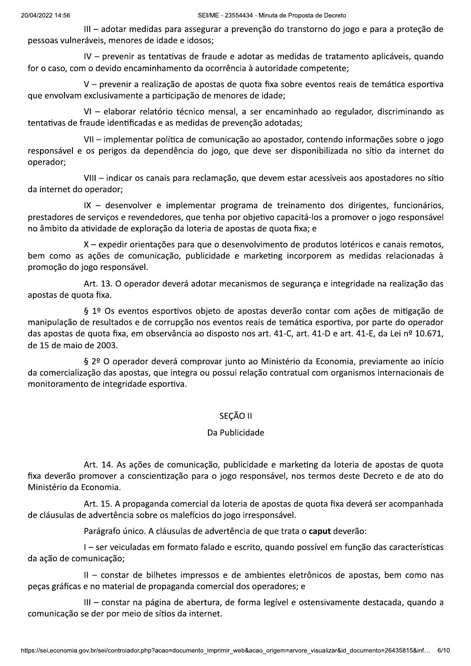III – adotar medidas para assegurar a prevenção do transtorno do jogo e para a proteção de pessoas vulneráveis, menores de idade e idosos;

IV - prevenir as tentativas de fraude e adotar as medidas de tratamento aplicáveis, quando for o caso, com o devido encaminhamento da ocorrência à autoridade competente;

V - prevenir a realização de apostas de quota fixa sobre eventos reais de temática esportiva que envolvam exclusivamente a participação de menores de idade;

VI - elaborar relatório técnico mensal, a ser encaminhado ao regulador, discriminando as tentativas de fraude identificadas e as medidas de prevenção adotadas;

VII - implementar política de comunicação ao apostador, contendo informações sobre o jogo responsável e os perigos da dependência do jogo, que deve ser disponibilizada no sítio da internet do operador;

VIII - indicar os canais para reclamação, que devem estar acessíveis aos apostadores no sítio da internet do operador;

IX - desenvolver e implementar programa de treinamento dos dirigentes, funcionários, prestadores de servicos e revendedores, que tenha por objetivo capacitá-los a promover o jogo responsável no âmbito da atividade de exploração da loteria de apostas de quota fixa; e

X – expedir orientações para que o desenvolvimento de produtos lotéricos e canais remotos, bem como as ações de comunicação, publicidade e marketing incorporem as medidas relacionadas à promoção do jogo responsável.

Art. 13. O operador deverá adotar mecanismos de segurança e integridade na realização das apostas de quota fixa.

§ 1º Os eventos esportivos objeto de apostas deverão contar com ações de mitigação de manipulação de resultados e de corrupção nos eventos reais de temática esportiva, por parte do operador das apostas de quota fixa, em observância ao disposto nos art. 41-C, art. 41-D e art. 41-E, da Lei nº 10.671, de 15 de maio de 2003.

§ 2º O operador deverá comprovar junto ao Ministério da Economia, previamente ao início da comercialização das apostas, que integra ou possui relação contratual com organismos internacionais de monitoramento de integridade esportiva.

### SECÃO II

### Da Publicidade

Art. 14. As ações de comunicação, publicidade e marketing da loteria de apostas de quota fixa deverão promover a conscientização para o jogo responsável, nos termos deste Decreto e de ato do Ministério da Economia.

Art. 15. A propaganda comercial da loteria de apostas de quota fixa deverá ser acompanhada de cláusulas de advertência sobre os malefícios do jogo irresponsável.

Parágrafo único. A cláusulas de advertência de que trata o caput deverão:

I - ser veiculadas em formato falado e escrito, quando possível em função das características da ação de comunicação;

II - constar de bilhetes impressos e de ambientes eletrônicos de apostas, bem como nas peças gráficas e no material de propaganda comercial dos operadores; e

III - constar na página de abertura, de forma legível e ostensivamente destacada, quando a comunicação se der por meio de sítios da internet.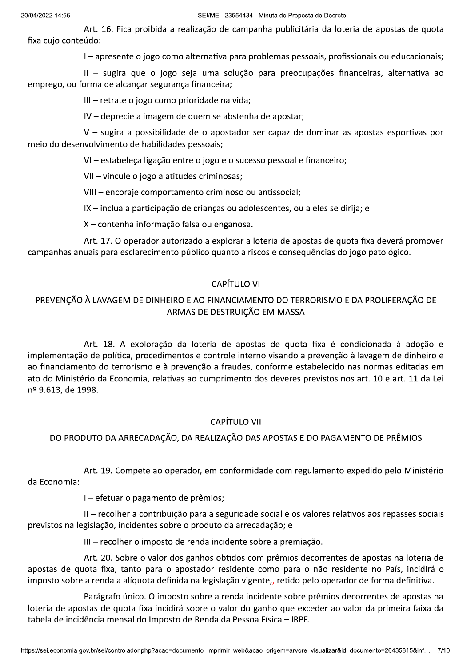Art. 16. Fica proibida a realização de campanha publicitária da loteria de apostas de quota fixa cujo conteúdo:

I - apresente o jogo como alternativa para problemas pessoais, profissionais ou educacionais;

II - sugira que o jogo seja uma solução para preocupações financeiras, alternativa ao emprego, ou forma de alcançar segurança financeira;

III - retrate o jogo como prioridade na vida;

IV - deprecie a imagem de quem se abstenha de apostar;

V - sugira a possibilidade de o apostador ser capaz de dominar as apostas esportivas por meio do desenvolvimento de habilidades pessoais;

VI - estabeleça ligação entre o jogo e o sucesso pessoal e financeiro;

VII - vincule o jogo a atitudes criminosas;

VIII - encoraje comportamento criminoso ou antissocial;

IX – inclua a participação de crianças ou adolescentes, ou a eles se dirija; e

X – contenha informação falsa ou enganosa.

Art. 17. O operador autorizado a explorar a loteria de apostas de quota fixa deverá promover campanhas anuais para esclarecimento público quanto a riscos e consequências do jogo patológico.

### CAPÍTULO VI

# PREVENÇÃO À LAVAGEM DE DINHEIRO E AO FINANCIAMENTO DO TERRORISMO E DA PROLIFERAÇÃO DE ARMAS DE DESTRUIÇÃO EM MASSA

Art. 18. A exploração da loteria de apostas de quota fixa é condicionada à adoção e implementação de política, procedimentos e controle interno visando a prevenção à lavagem de dinheiro e ao financiamento do terrorismo e à prevenção a fraudes, conforme estabelecido nas normas editadas em ato do Ministério da Economia, relativas ao cumprimento dos deveres previstos nos art. 10 e art. 11 da Lei nº 9.613, de 1998.

# **CAPÍTULO VII**

## DO PRODUTO DA ARRECADAÇÃO, DA REALIZAÇÃO DAS APOSTAS E DO PAGAMENTO DE PRÊMIOS

Art. 19. Compete ao operador, em conformidade com regulamento expedido pelo Ministério da Economia:

I - efetuar o pagamento de prêmios;

II - recolher a contribuição para a seguridade social e os valores relativos aos repasses sociais previstos na legislação, incidentes sobre o produto da arrecadação; e

III – recolher o imposto de renda incidente sobre a premiação.

Art. 20. Sobre o valor dos ganhos obtidos com prêmios decorrentes de apostas na loteria de apostas de quota fixa, tanto para o apostador residente como para o não residente no País, incidirá o imposto sobre a renda a alíquota definida na legislação vigente,, retido pelo operador de forma definitiva.

Parágrafo único. O imposto sobre a renda incidente sobre prêmios decorrentes de apostas na loteria de apostas de quota fixa incidirá sobre o valor do ganho que exceder ao valor da primeira faixa da tabela de incidência mensal do Imposto de Renda da Pessoa Física - IRPF.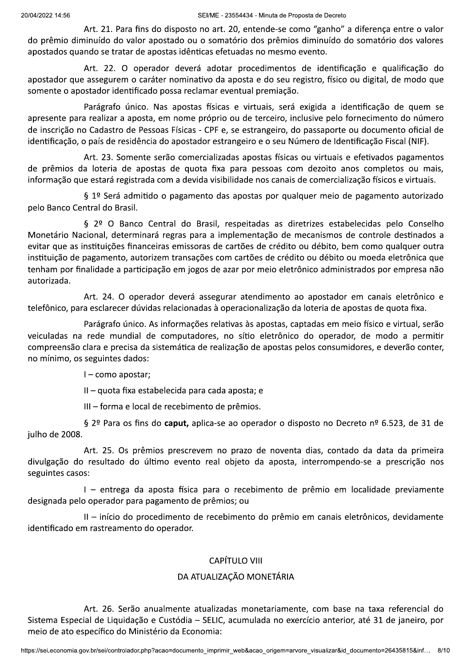Art. 21. Para fins do disposto no art. 20, entende-se como "ganho" a diferença entre o valor do prêmio diminuído do valor apostado ou o somatório dos prêmios diminuído do somatório dos valores apostados quando se tratar de apostas idênticas efetuadas no mesmo evento.

Art. 22. O operador deverá adotar procedimentos de identificação e qualificação do apostador que assegurem o caráter nominativo da aposta e do seu registro, físico ou digital, de modo que somente o apostador identificado possa reclamar eventual premiação.

Parágrafo único. Nas apostas físicas e virtuais, será exigida a identificação de quem se apresente para realizar a aposta, em nome próprio ou de terceiro, inclusive pelo fornecimento do número de inscrição no Cadastro de Pessoas Físicas - CPF e, se estrangeiro, do passaporte ou documento oficial de identificação, o país de residência do apostador estrangeiro e o seu Número de Identificação Fiscal (NIF).

Art. 23. Somente serão comercializadas apostas físicas ou virtuais e efetivados pagamentos de prêmios da loteria de apostas de quota fixa para pessoas com dezoito anos completos ou mais, informação que estará registrada com a devida visibilidade nos canais de comercialização físicos e virtuais.

§ 1º Será admitido o pagamento das apostas por qualquer meio de pagamento autorizado pelo Banco Central do Brasil.

§ 2º O Banco Central do Brasil, respeitadas as diretrizes estabelecidas pelo Conselho Monetário Nacional, determinará regras para a implementação de mecanismos de controle destinados a evitar que as instituições financeiras emissoras de cartões de crédito ou débito, bem como qualquer outra instituição de pagamento, autorizem transações com cartões de crédito ou débito ou moeda eletrônica que tenham por finalidade a participação em jogos de azar por meio eletrônico administrados por empresa não autorizada.

Art. 24. O operador deverá assegurar atendimento ao apostador em canais eletrônico e telefônico, para esclarecer dúvidas relacionadas à operacionalização da loteria de apostas de quota fixa.

Parágrafo único. As informações relativas às apostas, captadas em meio físico e virtual, serão veiculadas na rede mundial de computadores, no sítio eletrônico do operador, de modo a permitir compreensão clara e precisa da sistemática de realização de apostas pelos consumidores, e deverão conter, no mínimo, os seguintes dados:

 $I$  – como apostar;

 $II -$  quota fixa estabelecida para cada aposta; e

III - forma e local de recebimento de prêmios.

§ 2º Para os fins do caput, aplica-se ao operador o disposto no Decreto nº 6.523, de 31 de julho de 2008.

Art. 25. Os prêmios prescrevem no prazo de noventa dias, contado da data da primeira divulgação do resultado do último evento real objeto da aposta, interrompendo-se a prescrição nos seguintes casos:

I - entrega da aposta física para o recebimento de prêmio em localidade previamente designada pelo operador para pagamento de prêmios; ou

II - início do procedimento de recebimento do prêmio em canais eletrônicos, devidamente identificado em rastreamento do operador.

# **CAPÍTULO VIII**

### DA ATUALIZAÇÃO MONETÁRIA

Art. 26. Serão anualmente atualizadas monetariamente, com base na taxa referencial do Sistema Especial de Liquidação e Custódia - SELIC, acumulada no exercício anterior, até 31 de janeiro, por meio de ato específico do Ministério da Economia: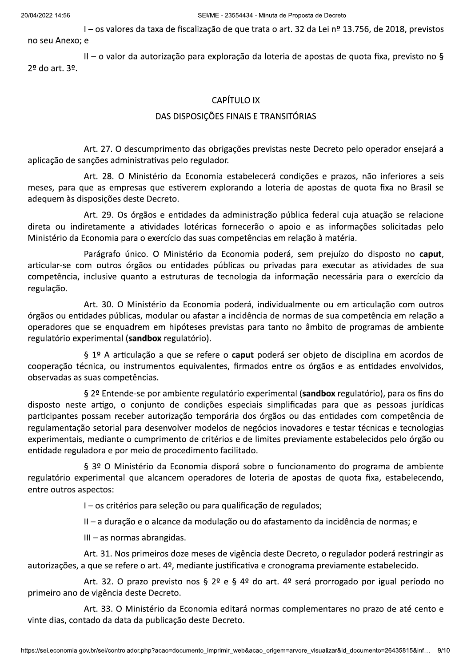l – os valores da taxa de fiscalização de que trata o art. 32 da Lei nº 13.756, de 2018, previstos<br>no seu Anexo: e

 $II - o$  valor da autorização para exploração da loteria de apostas de quota fixa, previsto no §  $2<sup>9</sup>$  do art,  $3<sup>9</sup>$ .

## **CAPÍTULO IX**

#### DAS DISPOSIÇÕES FINAIS E TRANSITÓRIAS

Art. 27. O descumprimento das obrigações previstas neste Decreto pelo operador ensejará a aplicação de sanções administrativas pelo regulador.

Art. 28. O Ministério da Economia estabelecerá condições e prazos, não inferiores a seis meses, para que as empresas que estiverem explorando a loteria de apostas de quota fixa no Brasil se adequem às disposições deste Decreto.

Art. 29. Os órgãos e entidades da administração pública federal cuja atuação se relacione direta ou indiretamente a atividades lotéricas fornecerão o apoio e as informações solicitadas pelo Ministério da Economia para o exercício das suas competências em relação à matéria.

Parágrafo único. O Ministério da Economia poderá, sem prejuízo do disposto no caput, articular-se com outros órgãos ou entidades públicas ou privadas para executar as atividades de sua competência, inclusive quanto a estruturas de tecnologia da informação necessária para o exercício da regulação.

Art. 30. O Ministério da Economia poderá, individualmente ou em articulação com outros órgãos ou entidades públicas, modular ou afastar a incidência de normas de sua competência em relação a operadores que se enquadrem em hipóteses previstas para tanto no âmbito de programas de ambiente regulatório experimental (sandbox regulatório).

§ 1º A articulação a que se refere o caput poderá ser objeto de disciplina em acordos de cooperação técnica, ou instrumentos equivalentes, firmados entre os órgãos e as entidades envolvidos, observadas as suas competências.

§ 2º Entende-se por ambiente regulatório experimental (sandbox regulatório), para os fins do disposto neste artigo, o conjunto de condições especiais simplificadas para que as pessoas jurídicas participantes possam receber autorização temporária dos órgãos ou das entidades com competência de regulamentação setorial para desenvolver modelos de negócios inovadores e testar técnicas e tecnologias experimentais, mediante o cumprimento de critérios e de limites previamente estabelecidos pelo órgão ou entidade reguladora e por meio de procedimento facilitado.

§ 3º O Ministério da Economia disporá sobre o funcionamento do programa de ambiente regulatório experimental que alcancem operadores de loteria de apostas de quota fixa, estabelecendo, entre outros aspectos:

I - os critérios para seleção ou para qualificação de regulados;

II – a duração e o alcance da modulação ou do afastamento da incidência de normas; e

 $III - as$  normas abrangidas.

Art. 31. Nos primeiros doze meses de vigência deste Decreto, o regulador poderá restringir as autorizações, a que se refere o art. 4º, mediante justificativa e cronograma previamente estabelecido.

Art. 32. O prazo previsto nos § 2º e § 4º do art. 4º será prorrogado por igual período no primeiro ano de vigência deste Decreto.

ncia deste Decreto.<br>3. O Ministério da Economia editará normas complementares no prazo de até cento e<br>a data da publicação deste Decreto.<br>:controlador.php?acao=documento\_imprimir\_web&acao\_origem=arvore\_visualizar&id\_docume Art. 33. O Ministério da Economia editará normas complementares no prazo de até cento e vinte dias, contado da data da publicação deste Decreto.